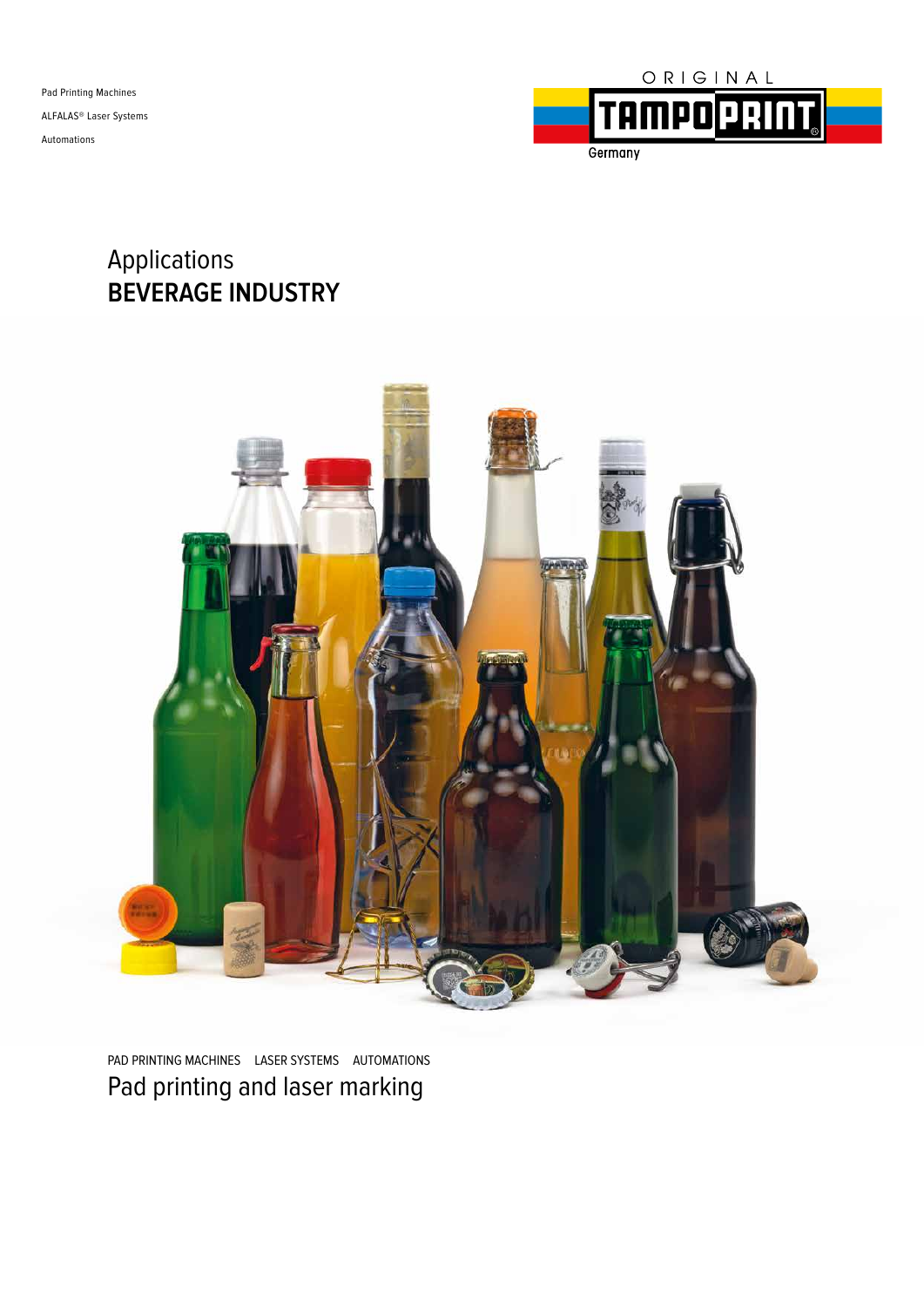

### Applications **BEVERAGE INDUSTRY**



PAD PRINTING MACHINES LASER SYSTEMS AUTOMATIONS Pad printing and laser marking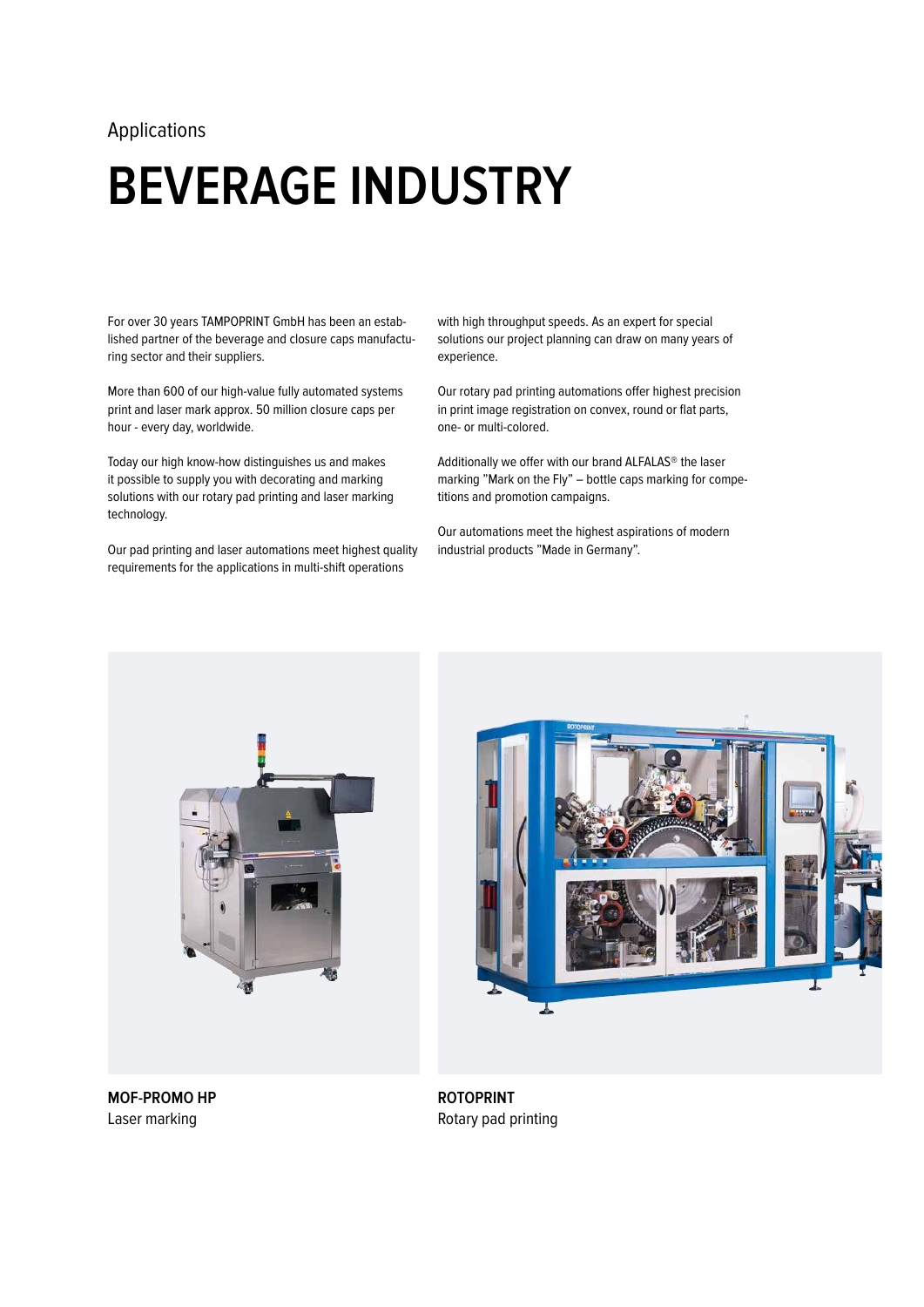## **BEVERAGE INDUSTRY**

For over 30 years TAMPOPRINT GmbH has been an established partner of the beverage and closure caps manufacturing sector and their suppliers.

More than 600 of our high-value fully automated systems print and laser mark approx. 50 million closure caps per hour - every day, worldwide.

Today our high know-how distinguishes us and makes it possible to supply you with decorating and marking solutions with our rotary pad printing and laser marking technology.

Our pad printing and laser automations meet highest quality requirements for the applications in multi-shift operations

with high throughput speeds. As an expert for special solutions our project planning can draw on many years of experience.

Our rotary pad printing automations offer highest precision in print image registration on convex, round or flat parts, one- or multi-colored.

Additionally we offer with our brand ALFALAS® the laser marking "Mark on the Fly" – bottle caps marking for competitions and promotion campaigns.

Our automations meet the highest aspirations of modern industrial products "Made in Germany".





**MOF-PROMO HP** Laser marking

**ROTOPRINT** Rotary pad printing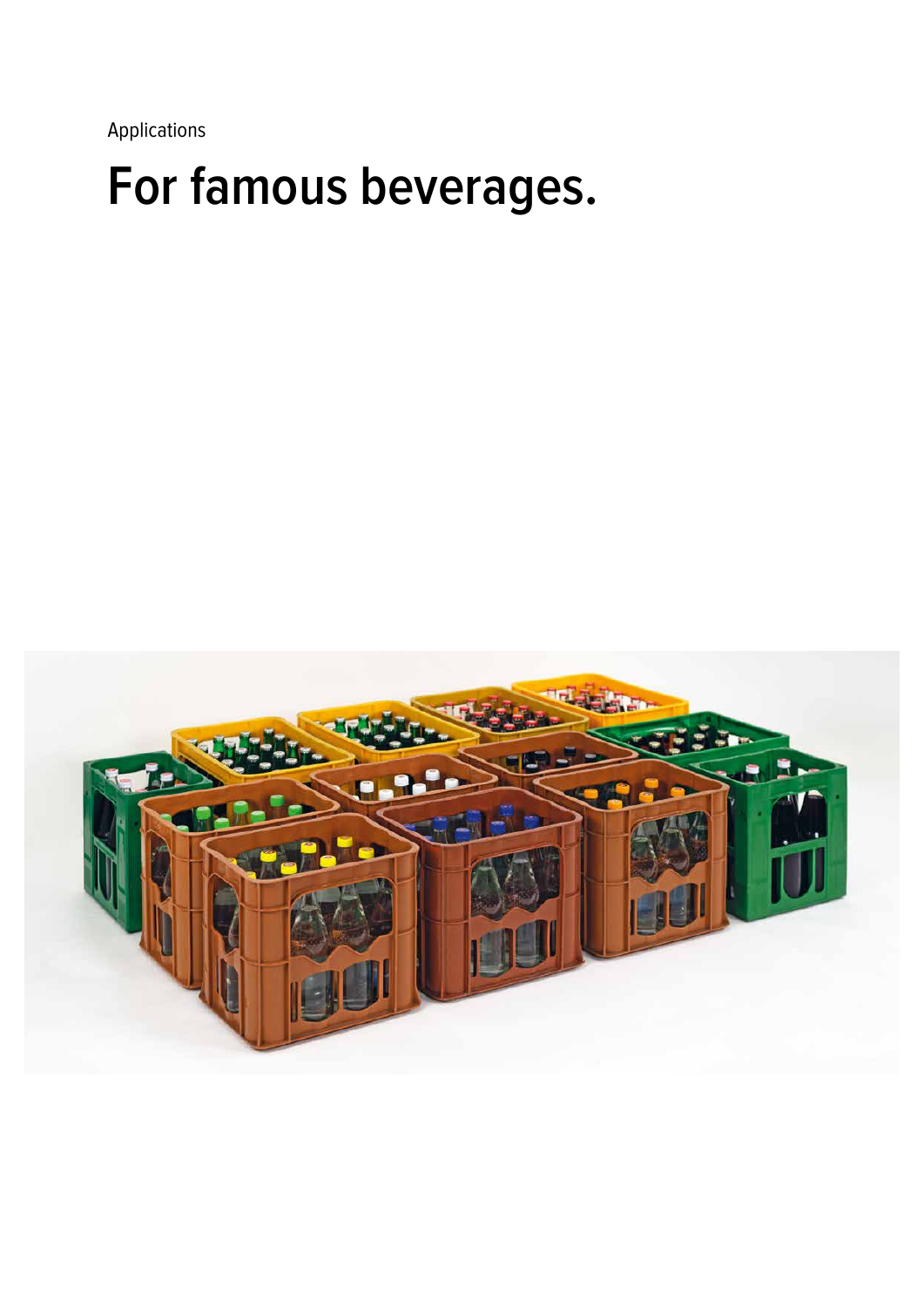## **For famous beverages.**

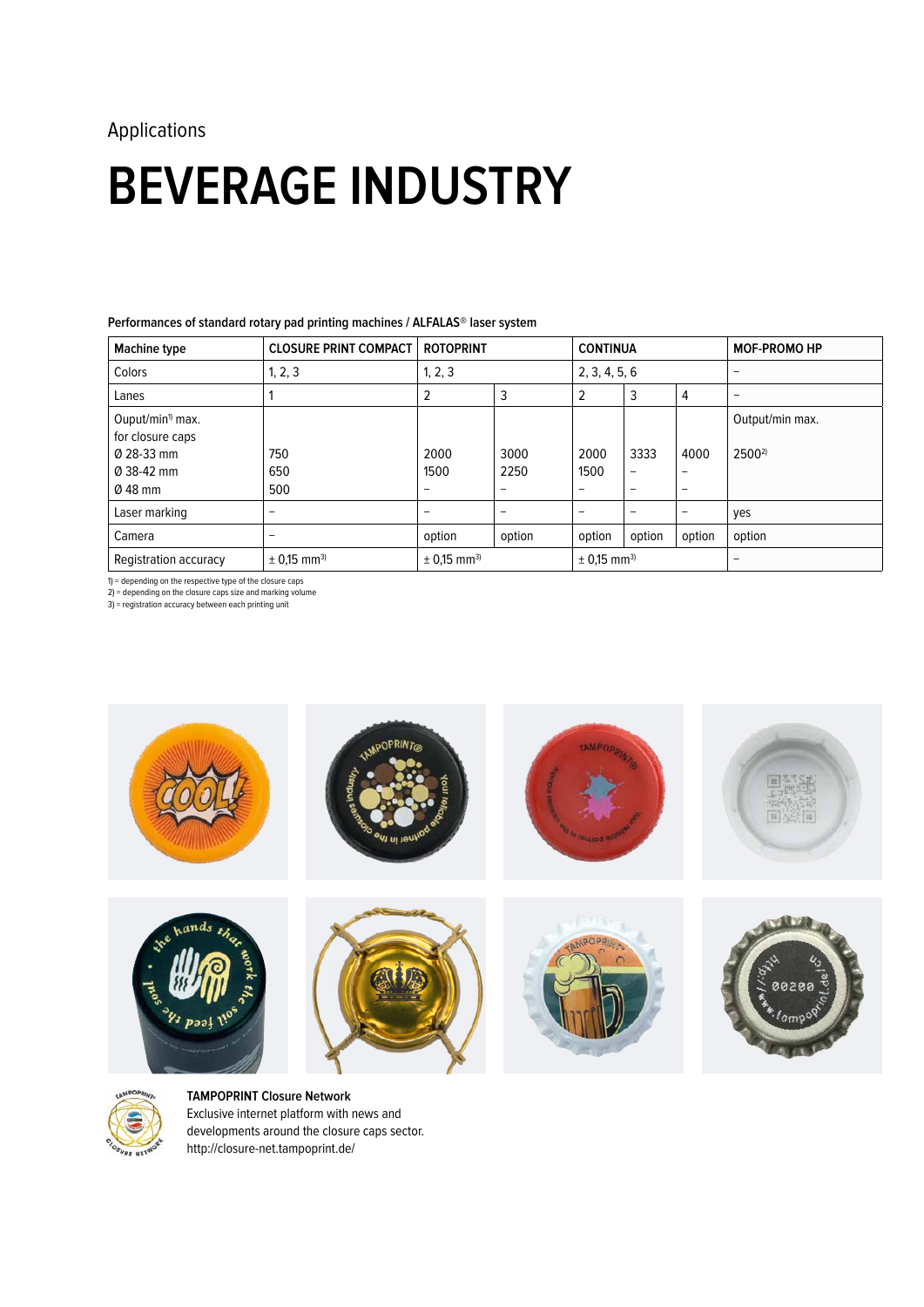## **BEVERAGE INDUSTRY**

#### **Performances of standard rotary pad printing machines / ALFALAS® laser system**

| Machine type                 | <b>CLOSURE PRINT COMPACT</b> | <b>ROTOPRINT</b>             |                 | <b>CONTINUA</b>           |                          |                          | <b>MOF-PROMO HP</b>      |
|------------------------------|------------------------------|------------------------------|-----------------|---------------------------|--------------------------|--------------------------|--------------------------|
| Colors                       | 1, 2, 3                      | 1, 2, 3                      |                 | 2, 3, 4, 5, 6             |                          |                          | $\qquad \qquad$          |
| Lanes                        |                              | 2                            | 3               | 2                         | 3                        | 4                        | $\qquad \qquad$          |
| Ouput/min <sup>1)</sup> max. |                              |                              |                 |                           |                          |                          | Output/min max.          |
| for closure caps             |                              |                              |                 |                           |                          |                          |                          |
| Ø 28-33 mm                   | 750                          | 2000                         | 3000            | 2000                      | 3333                     | 4000                     | $2500^{2}$               |
| Ø 38-42 mm                   | 650                          | 1500                         | 2250            | 1500                      | $\overline{\phantom{0}}$ | -                        |                          |
| 048 mm                       | 500                          | $\qquad \qquad \blacksquare$ | $\qquad \qquad$ | -                         | $\overline{\phantom{a}}$ | $\overline{\phantom{a}}$ |                          |
| Laser marking                | $\overline{\phantom{0}}$     | $\overline{\phantom{0}}$     | -               | $\overline{\phantom{a}}$  | $\overline{\phantom{a}}$ | $\overline{\phantom{0}}$ | yes                      |
| Camera                       | $\overline{\phantom{0}}$     | option                       | option          | option                    | option                   | option                   | option                   |
| Registration accuracy        | $\pm$ 0.15 mm <sup>3)</sup>  | $\pm$ 0.15 mm <sup>3)</sup>  |                 | $± 0.15$ mm <sup>3)</sup> |                          |                          | $\overline{\phantom{0}}$ |

1) = depending on the respective type of the closure caps 2) = depending on the closure caps size and marking volume

3) = registration accuracy between each printing unit





**TAMPOPRINT Closure Network** Exclusive internet platform with news and developments around the closure caps sector. http://closure-net.tampoprint.de/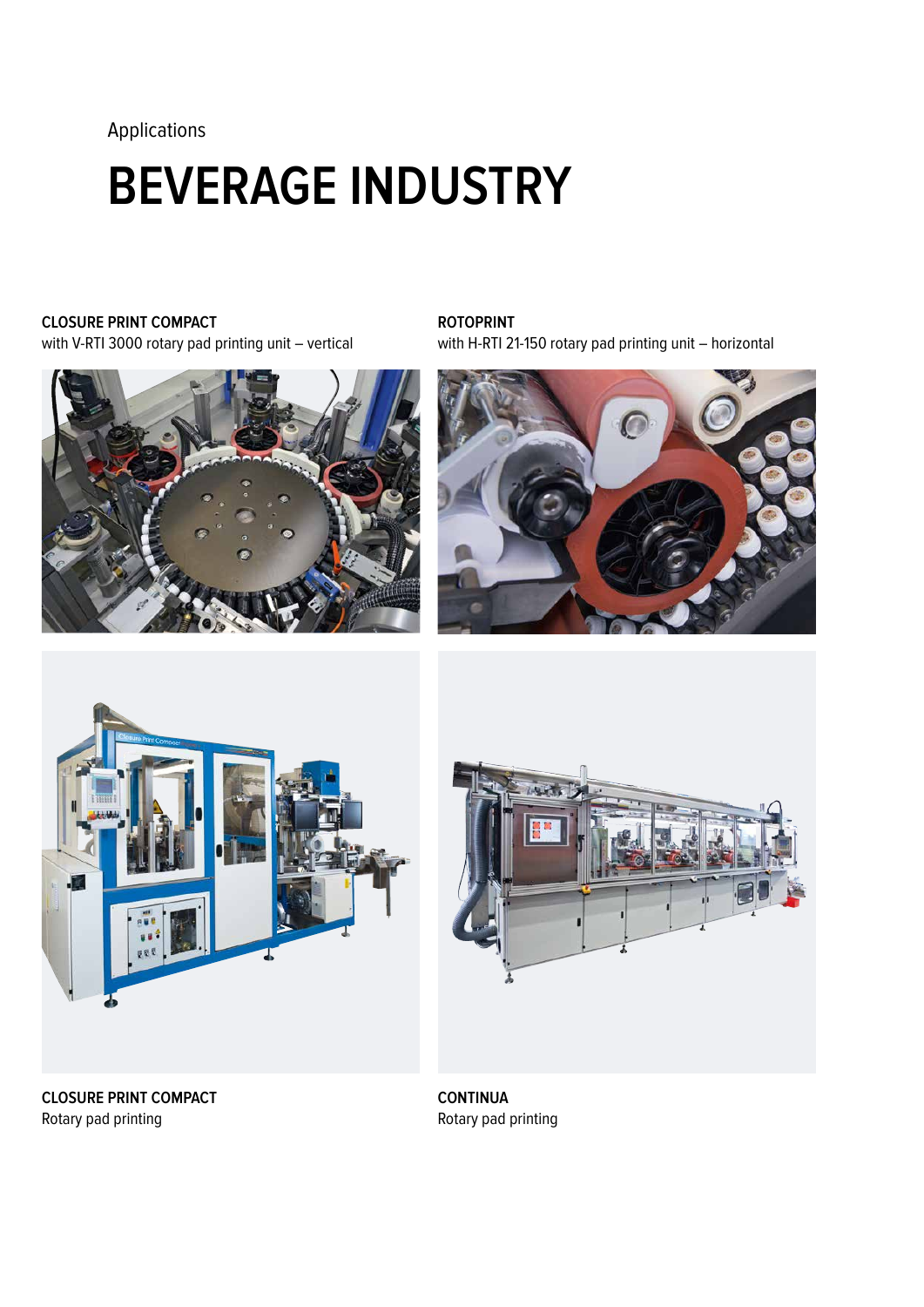# **BEVERAGE INDUSTRY**

### **CLOSURE PRINT COMPACT**

with V-RTI 3000 rotary pad printing unit – vertical



#### **ROTOPRINT**

with H-RTI 21-150 rotary pad printing unit – horizontal







**CLOSURE PRINT COMPACT** Rotary pad printing

**CONTINUA** Rotary pad printing